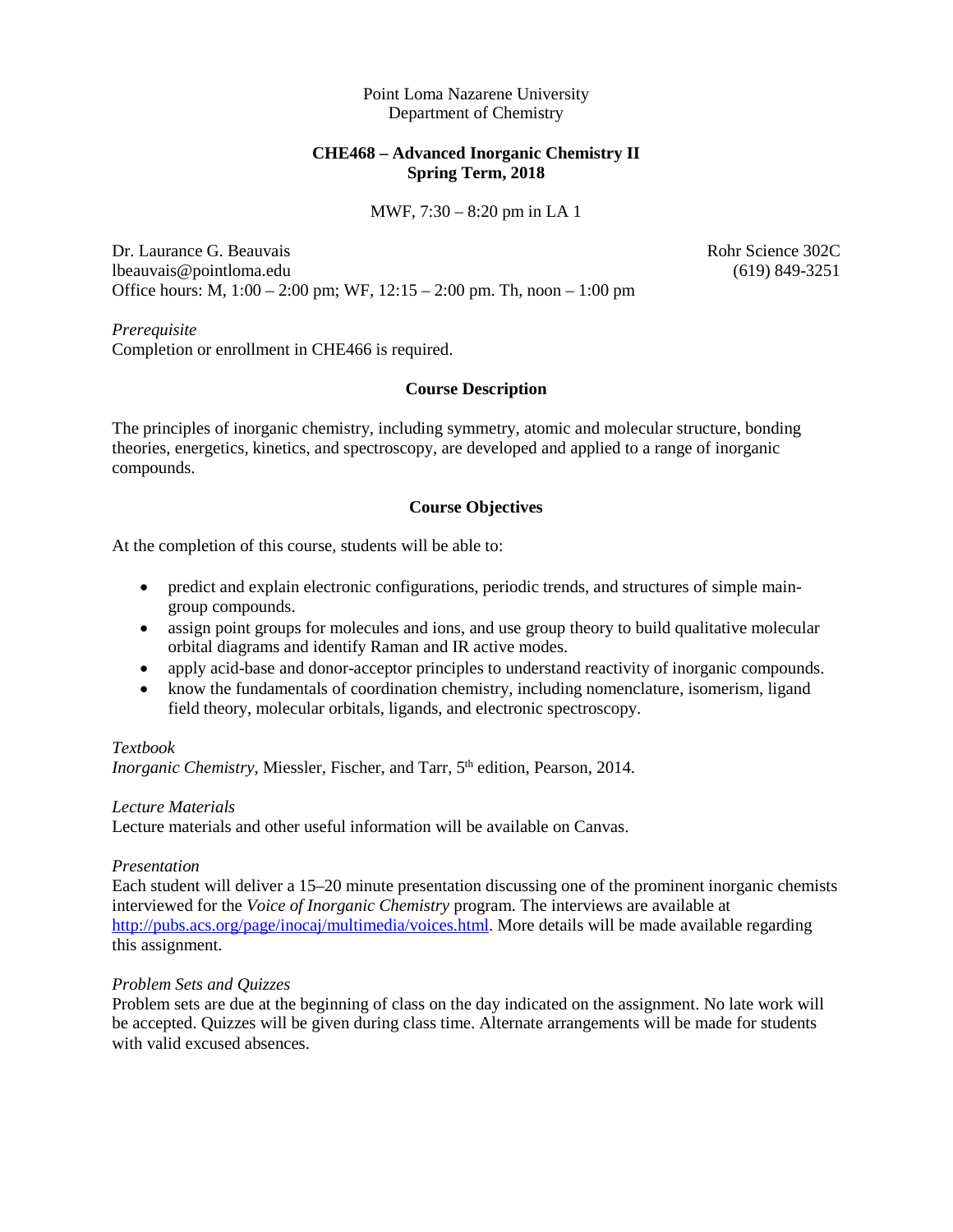Point Loma Nazarene University Department of Chemistry

### **CHE468 – Advanced Inorganic Chemistry II Spring Term, 2018**

MWF, 7:30 – 8:20 pm in LA 1

Dr. Laurance G. Beauvais **Robert Community** Rohr Science 302C lbeauvais@pointloma.edu (619) 849-3251 Office hours: M, 1:00 – 2:00 pm; WF, 12:15 – 2:00 pm. Th, noon – 1:00 pm

*Prerequisite* Completion or enrollment in CHE466 is required.

#### **Course Description**

The principles of inorganic chemistry, including symmetry, atomic and molecular structure, bonding theories, energetics, kinetics, and spectroscopy, are developed and applied to a range of inorganic compounds.

#### **Course Objectives**

At the completion of this course, students will be able to:

- predict and explain electronic configurations, periodic trends, and structures of simple maingroup compounds.
- assign point groups for molecules and ions, and use group theory to build qualitative molecular orbital diagrams and identify Raman and IR active modes.
- apply acid-base and donor-acceptor principles to understand reactivity of inorganic compounds.
- know the fundamentals of coordination chemistry, including nomenclature, isomerism, ligand field theory, molecular orbitals, ligands, and electronic spectroscopy.

#### *Textbook*

*Inorganic Chemistry*, Miessler, Fischer, and Tarr, 5<sup>th</sup> edition, Pearson, 2014.

#### *Lecture Materials*

Lecture materials and other useful information will be available on Canvas.

#### *Presentation*

Each student will deliver a 15–20 minute presentation discussing one of the prominent inorganic chemists interviewed for the *Voice of Inorganic Chemistry* program. The interviews are available at [http://pubs.acs.org/page/inocaj/multimedia/voices.html.](http://pubs.acs.org/page/inocaj/multimedia/voices.html) More details will be made available regarding this assignment.

#### *Problem Sets and Quizzes*

Problem sets are due at the beginning of class on the day indicated on the assignment. No late work will be accepted. Quizzes will be given during class time. Alternate arrangements will be made for students with valid excused absences.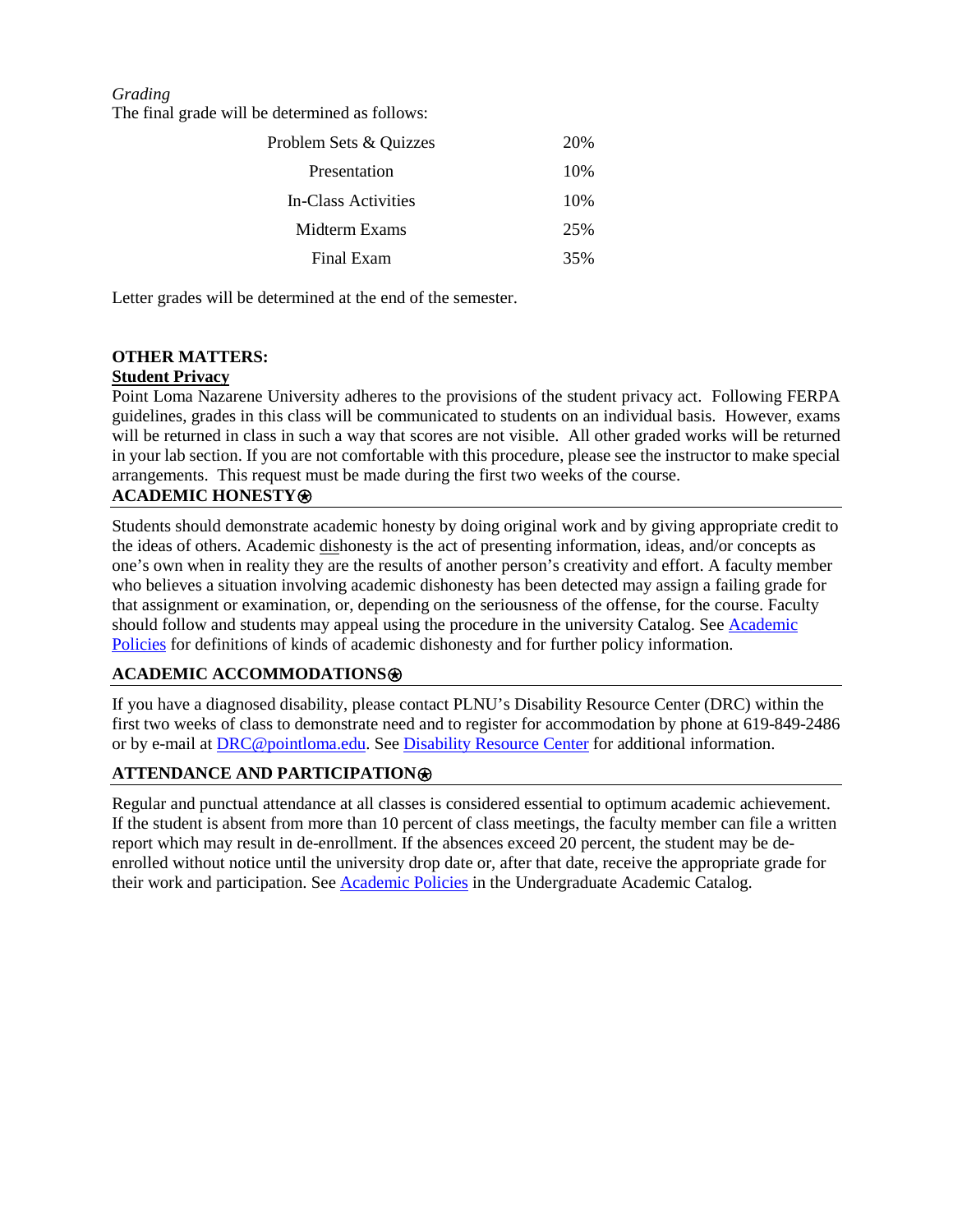#### *Grading*

The final grade will be determined as follows:

| Problem Sets & Quizzes |     |
|------------------------|-----|
| Presentation           | 10% |
| In-Class Activities    | 10% |
| Midterm Exams          | 25% |
| Final Exam             | 35% |

Letter grades will be determined at the end of the semester.

# **OTHER MATTERS:**

## **Student Privacy**

Point Loma Nazarene University adheres to the provisions of the student privacy act. Following FERPA guidelines, grades in this class will be communicated to students on an individual basis. However, exams will be returned in class in such a way that scores are not visible. All other graded works will be returned in your lab section. If you are not comfortable with this procedure, please see the instructor to make special arrangements. This request must be made during the first two weeks of the course.

## **ACADEMIC HONESTY**⍟

Students should demonstrate academic honesty by doing original work and by giving appropriate credit to the ideas of others. Academic dishonesty is the act of presenting information, ideas, and/or concepts as one's own when in reality they are the results of another person's creativity and effort. A faculty member who believes a situation involving academic dishonesty has been detected may assign a failing grade for that assignment or examination, or, depending on the seriousness of the offense, for the course. Faculty should follow and students may appeal using the procedure in the university Catalog. See [Academic](http://catalog.pointloma.edu/content.php?catoid=18&navoid=1278)  [Policies](http://catalog.pointloma.edu/content.php?catoid=18&navoid=1278) for definitions of kinds of academic dishonesty and for further policy information.

#### **ACADEMIC ACCOMMODATIONS**⍟

If you have a diagnosed disability, please contact PLNU's Disability Resource Center (DRC) within the first two weeks of class to demonstrate need and to register for accommodation by phone at 619-849-2486 or by e-mail at [DRC@pointloma.edu.](mailto:DRC@pointloma.edu) See [Disability Resource Center](http://www.pointloma.edu/experience/offices/administrative-offices/academic-advising-office/disability-resource-center) for additional information.

## **ATTENDANCE AND PARTICIPATION**⍟

Regular and punctual attendance at all classes is considered essential to optimum academic achievement. If the student is absent from more than 10 percent of class meetings, the faculty member can file a written report which may result in de-enrollment. If the absences exceed 20 percent, the student may be deenrolled without notice until the university drop date or, after that date, receive the appropriate grade for their work and participation. See [Academic Policies](http://catalog.pointloma.edu/content.php?catoid=18&navoid=1278) in the Undergraduate Academic Catalog.